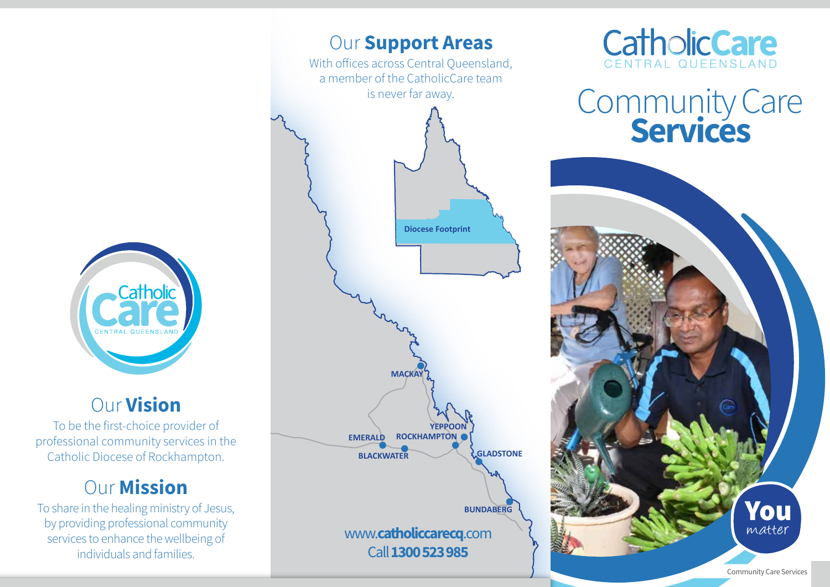

### Our Vision

To be the first-choice provider of professional community services in the Catholic Diocese of Rockhampton.

## **Our Mission**

To share in the healing ministry of Jesus, by providing professional community services to enhance the wellbeing of individuals and families.





# Community Care<br>**Services**